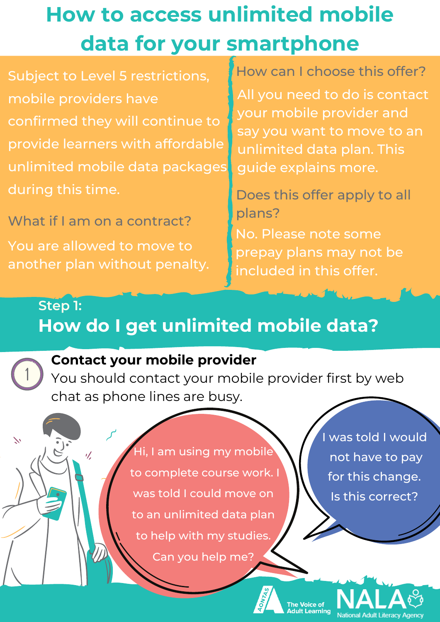# **How to access unlimited mobile data for your smartphone**

Subject to Level 5 restrictions, mobile providers have confirmed they will continue to provide learners with affordable unlimited mobile data packages during this time.

You are allowed to move to another plan without penalty. What if I am on a contract?

 $\mathscr{A}$ 

How can I choose this offer?

All you need to do is contact your mobile provider and say you want to move to an unlimited data plan. This guide explains more.

Does this offer apply to all plans?

No. Please note some prepay plans may not be included in this offer.

# **How do I get unlimited mobile data? Step 1:**



 $\sum$ 

#### **Contact your mobile provider**

You should contact your mobile provider first by web chat as phone lines are busy.

> Hi, I am using my mobile to complete course work. I was told I could move on to an unlimited data plan to help with my studies. Can you help me?

I was told I would not have to pay for this change. Is this correct?